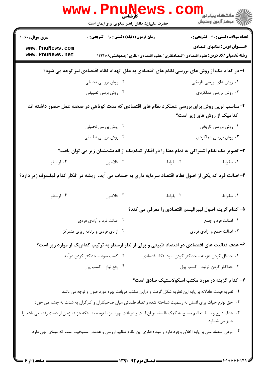|                                                                                                                          | <b>www.Pnur</b>                                                                                                      |                                                                                          | ڪ دانشڪاه پيام نور ■<br> 7- مرکز آزمون وسنڊش |  |  |
|--------------------------------------------------------------------------------------------------------------------------|----------------------------------------------------------------------------------------------------------------------|------------------------------------------------------------------------------------------|----------------------------------------------|--|--|
|                                                                                                                          | حضرت علی(ع): دانش راهبر نیکویی برای ایمان است                                                                        |                                                                                          |                                              |  |  |
| <b>سری سوال :</b> یک ۱                                                                                                   | <b>زمان آزمون (دقیقه) : تستی : ۹۰ قشریحی : 0</b>                                                                     |                                                                                          | <b>تعداد سوالات : تستی : 40 ٪ تشریحی : 0</b> |  |  |
| www.PnuNews.com<br>www.PnuNews.net                                                                                       |                                                                                                                      | <b>رشته تحصیلی/کد درس:</b> علوم اقتصادی (اقتصادنظری )،علوم اقتصادی (نظری )چندبخشی۱۲۲۱۱۰۸ | <b>عنـــوان درس:</b> نظامهای اقتصادی         |  |  |
| ا- در کدام یک از روش های بررسی نظام های اقتصادی به علل انهدام نظام اقتصادی نیز توجه می شود؟                              |                                                                                                                      |                                                                                          |                                              |  |  |
|                                                                                                                          | ۰۲ روش بررسی تحلیلی                                                                                                  |                                                                                          | ۰۱ روش های بررسی تاریخی                      |  |  |
|                                                                                                                          | ۰۴ روش برسی تطبیقی                                                                                                   |                                                                                          | ۰۳ روش بررسی عملکردی                         |  |  |
| ۲-مناسب ترین روش برای بررسی عملکرد نظام های اقتصادی که مدت کوتاهی در صحنه عمل حضور داشته اند                             |                                                                                                                      |                                                                                          |                                              |  |  |
|                                                                                                                          |                                                                                                                      |                                                                                          | کدامیک از روش های زیر است؟                   |  |  |
|                                                                                                                          | ۰۲ روش بررسی تحلیلی                                                                                                  |                                                                                          | ۰۱ روش بررسی تاریخی                          |  |  |
|                                                                                                                          | ۰۴ روش بررسی تطبیقی                                                                                                  |                                                                                          | ۰۳ روش بررسی عملکردی                         |  |  |
|                                                                                                                          | ۳- تصویر یک نظام اشتراکی به تمام معنا را در افکار کدامیک از اندیشمندان زیر می توان یافت؟                             |                                                                                          |                                              |  |  |
| ۰۴ ارسطو                                                                                                                 | ۰۳ افلاطون                                                                                                           | ۰۲ بقراط                                                                                 | ۰۱ سقراط                                     |  |  |
|                                                                                                                          | ۴–اصالت فرد که یکی از اصول نظام اقتصاد سرمایه داری به حساب می آید، ریشه در افکار کدام فیلسوف زیر دارد؟               |                                                                                          |                                              |  |  |
| ۰۴ ارسطو                                                                                                                 | ۰۳ افلاطون                                                                                                           | ۰۲ بقراط                                                                                 | ۰۱ سقراط                                     |  |  |
|                                                                                                                          |                                                                                                                      | ۵– کدام گزینه اصول لیبرالیسم اقتصادی را معرفی می کند؟                                    |                                              |  |  |
|                                                                                                                          | ۰۲ اصالت فرد و آزادی فردی                                                                                            |                                                                                          | ۰۱ اصالت فرد و جمع                           |  |  |
| ۰۴ آزادی فردی و برنامه ریزی متمرکز                                                                                       |                                                                                                                      | ۰۳ اصالت جمع و آزادي فردي                                                                |                                              |  |  |
|                                                                                                                          | ۶– هدف فعالیت های اقتصادی در اقتصاد طبیعی و پولی از نظر ارسطو به ترتیب کدامیک از موارد زیر است؟                      |                                                                                          |                                              |  |  |
| ۰۲ کسب سود - حداکثر کردن درآمد                                                                                           |                                                                                                                      | ۰۱ حداقل کردن هزینه - حداکثر کردن سود بنگاه اقتصادی                                      |                                              |  |  |
|                                                                                                                          | ۰۴ رفع نياز - كسب پول                                                                                                |                                                                                          | ۰۳ حداکثر کردن تولید - کسب پول               |  |  |
|                                                                                                                          |                                                                                                                      | ۷- کدام گزینه در مورد مکتب اسکولاستیک صادق است؟                                          |                                              |  |  |
|                                                                                                                          | ۰۱ نظریه قیمت عادلانه بر پایه این نظریه شکل گرفت و دراین مکتب دریافت بهره مورد قبول و توجه می باشد                   |                                                                                          |                                              |  |  |
|                                                                                                                          | ۰۲ حق لوازم حیات برای انسان به رسمیت شناخته شده و تضاد طبقاتی میان صاحبکاران و کارگران به شدت به چشم می خورد         |                                                                                          |                                              |  |  |
| ۰۳ هدف شرح و بسط تعالیم مسیح به کمک فلسفه یونان است و دریافت بهره نیز با توجه به اینکه هزینه زمان از دست رفته می باشد را |                                                                                                                      |                                                                                          | جایز می شمارد                                |  |  |
|                                                                                                                          | ۰۴ نوعی اقتصاد ملی بر پایه اخلاق وجود دارد و مبداء فکری این نظام تعالیم ارزشی و هدفدار مسیحیت است که مبنای الهی دارد |                                                                                          |                                              |  |  |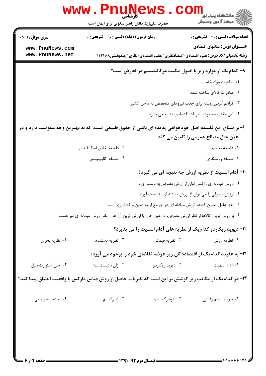|                                                                                                         | www.PnuNews                                                                                           |                  |                                                                                                                                  |
|---------------------------------------------------------------------------------------------------------|-------------------------------------------------------------------------------------------------------|------------------|----------------------------------------------------------------------------------------------------------------------------------|
|                                                                                                         | حضرت علی(ع): دانش راهبر نیکویی برای ایمان است                                                         |                  | د دانشڪاه پيا <sub>م</sub> نور<br><mark>√</mark> مرڪز آزمون وسنڊش                                                                |
| <b>سری سوال : ۱ یک</b>                                                                                  | <b>زمان آزمون (دقیقه) : تستی : ۹۰ قشریحی : 0</b>                                                      |                  | <b>تعداد سوالات : تستی : 40 ٪ تشریحی : 0</b>                                                                                     |
| www.PnuNews.com<br>www.PnuNews.net                                                                      |                                                                                                       |                  | <b>عنـــوان درس:</b> نظامهای اقتصادی<br><b>رشته تحصیلی/کد درس:</b> علوم اقتصادی (اقتصادنظری )،علوم اقتصادی (نظری )چندبخشی۱۲۲۱۱۰۸ |
|                                                                                                         |                                                                                                       |                  | ۸– کدام یک از موارد زیر با اصول مکتب مرکانتلیسم در تعارض است؟                                                                    |
|                                                                                                         |                                                                                                       |                  | ٠١. صادرات مواد خام                                                                                                              |
|                                                                                                         |                                                                                                       |                  | ۰۲ صادرات کالای ساخته شده                                                                                                        |
|                                                                                                         |                                                                                                       |                  | ۰۳ فراهم کردن زمینه برای جذب نیروهای متخصص به داخل کشور                                                                          |
|                                                                                                         |                                                                                                       |                  | ۰۴ این مکتب مجموعه نظریات اقتصادی منسجمی ندارد                                                                                   |
| ۹-بر مبنای این فلسفه اصل خودخواهی پدیده ای ناشی از حقوق طبیعی است، که به بهترین وجه عمومیت دارد و در    |                                                                                                       |                  |                                                                                                                                  |
|                                                                                                         |                                                                                                       |                  | عین حال مصالح عمومی را تامین می کند                                                                                              |
|                                                                                                         | ۰۲ فلسفه اخلاق اسکاتلندی                                                                              |                  | ۰۱ فلسفه دئيسم                                                                                                                   |
|                                                                                                         | ۰۴ فلسفه كالوينيستي                                                                                   |                  | ۰۳ فلسفه روشنگری                                                                                                                 |
|                                                                                                         |                                                                                                       |                  | ۱۰- آدام اسمیت از نظریه ارزش چه نتیجه ای می گیرد؟                                                                                |
|                                                                                                         |                                                                                                       |                  | ۰۱ ارزش مبادله ای را نمی توان از ارزش مصرفی به دست آورد                                                                          |
|                                                                                                         |                                                                                                       |                  | ۰۲ ارزش مصرفی را می توان از ارزش مبادله ای به دست آورد                                                                           |
|                                                                                                         |                                                                                                       |                  | ۰۳ تنها عامل تعیین کننده ارزش مبادله ای در جوامع اولیه زمین و کشاورزی است                                                        |
|                                                                                                         | ۰۴ با ارزش ترین کالاها از نظر ارزش مصرفی، در عین حال با ارزش ترین آن ها از نظر ارزش مبادله ای نیز هست |                  |                                                                                                                                  |
|                                                                                                         |                                                                                                       |                  | 11- دیوید ریکاردو کدامیک از نظریه های آدام اسمیت را می پذیرد؟                                                                    |
| ۰۴ نظريه بحران                                                                                          | ۰۳ نظریه دستمزد                                                                                       | ۰۲ نظريه قيمت    | ۰۱ نظریه ارزش                                                                                                                    |
|                                                                                                         |                                                                                                       |                  | ۱۲- به عقیده کدام یک از اقتصاددانان زیر عرضه تقاضای خود را بوجود می آورد؟                                                        |
| ۰۴ جان استوارت ميل                                                                                      | ۰۳ ژان باتیست سه                                                                                      | ۰۲ دیوید ریکاردو | ۰۱ آدام اسمیت                                                                                                                    |
| ۱۳- در کدام یک از مکاتب زیر کوشش بر این است که نظریات حاصل از روش قیاس مارکس با واقعیت انطباق پیدا کند؟ |                                                                                                       |                  |                                                                                                                                  |
| ۰۴ تجدید نظرطلبی                                                                                        | ۰۳ ليبراليسم                                                                                          | ۰۲ نئومارکسیسم   | ۰۱ سوسیالیسم رقابتی                                                                                                              |
|                                                                                                         |                                                                                                       |                  |                                                                                                                                  |
|                                                                                                         |                                                                                                       |                  |                                                                                                                                  |
|                                                                                                         |                                                                                                       |                  |                                                                                                                                  |
|                                                                                                         |                                                                                                       |                  |                                                                                                                                  |
|                                                                                                         |                                                                                                       |                  |                                                                                                                                  |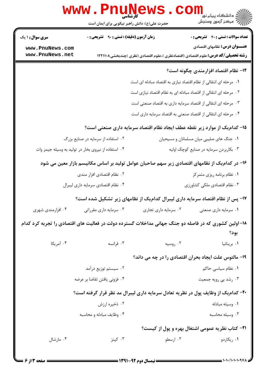|                                                     | <b>WWW . PNUN</b><br><b>کار شناسی</b><br>حضرت علی(ع): دانش راهبر نیکویی برای ایمان است |                                                                  | دانشگاه پیام نور ¶<br>ا <mark>∛</mark> مرکز آزمون وسنجش                                                                          |
|-----------------------------------------------------|----------------------------------------------------------------------------------------|------------------------------------------------------------------|----------------------------------------------------------------------------------------------------------------------------------|
| <b>سری سوال : ۱ یک</b>                              | <b>زمان آزمون (دقیقه) : تستی : ۹۰ قشریحی : 0</b>                                       |                                                                  | <b>تعداد سوالات : تستی : 40 - تشریحی : 0</b>                                                                                     |
| www.PnuNews.com<br>www.PnuNews.net                  |                                                                                        |                                                                  | <b>عنـــوان درس:</b> نظامهای اقتصادی<br><b>رشته تحصیلی/کد درس:</b> علوم اقتصادی (اقتصادنظری )،علوم اقتصادی (نظری )چندبخشی۱۲۲۱۱۰۸ |
|                                                     |                                                                                        |                                                                  | ۱۴- نظام اقتصاد افزارمندی چگونه است؟                                                                                             |
|                                                     |                                                                                        | ۰۱ مرحله ای انتقالی از نظام اقتصاد نیازی به اقتصاد مبادله ای است |                                                                                                                                  |
|                                                     |                                                                                        | ۰۲ مرحله ای انتقالی از اقتصاد مبادله ای به نظام اقتصاد نیازی است |                                                                                                                                  |
|                                                     |                                                                                        | ۰۳ مرحله ای انتقالی از اقتصاد سرمایه داری به اقتصاد صنعتی است    |                                                                                                                                  |
|                                                     |                                                                                        | ۰۴ مرحله ای انتقالی از اقتصاد صنعتی به اقتصاد سرمایه داری است    |                                                                                                                                  |
|                                                     |                                                                                        |                                                                  | ۱۵– کدامیک از موارد زیر نقطه عطف ایجاد نظام اقتصاد سرمایه داری صنعتی است؟                                                        |
|                                                     | ۰۲ استفاده از سرمایه در صنایع بزرگ                                                     |                                                                  | ۰۱ جنگ های صلیبی میان مسلمانان و مسیحیان                                                                                         |
| ۰۴ استفاده از نیروی بخار در تولید به وسیله جیمز وات |                                                                                        |                                                                  | ۰۳ بکاربردن سرمایه در صنایع کوچک اولیه                                                                                           |
|                                                     |                                                                                        |                                                                  | ۱۶– در کدام یک از نظامهای اقتصادی زیر سهم صاحبان عوامل تولید بر اساس مکانیسم بازار معین می شود                                   |
|                                                     | ۰۲ نظام اقتصادی افزار مندی                                                             |                                                                  | ۰۱ نظام برنامه ریزی متمرکز                                                                                                       |
|                                                     | ۰۴ نظام اقتصادي سرمايه داري ليبرال                                                     |                                                                  | ۰۳ نظام اقتصادی ملکی کشاورزی                                                                                                     |
|                                                     |                                                                                        |                                                                  | ۱۷- پس از نظام اقتصاد سرمایه داری لیبرال کدامیک از نظامهای زیر تشکیل شده است؟                                                    |
| ۰۴ افزارمندی شهری                                   | ۰۳ سرمایه داری مقرراتی                                                                 | ۰۲ سرمایه داری تجاری                                             | ۰۱ سرمایه داری صنعتی                                                                                                             |
|                                                     |                                                                                        |                                                                  | ۱۸– اولین کشوری که در فاصله دو جنگ جهانی مداخلات گسترده دولت در فعالیت های اقتصادی را تجربه کرد کدام<br>بود؟                     |
| ۰۴ آمریکا                                           | ۰۳ فرانسه                                                                              | ۰۲ روسیه                                                         | ٠١. بريتانيا                                                                                                                     |
|                                                     |                                                                                        |                                                                  | ۱۹- مالتوس علت ایجاد بحران اقتصادی را در چه می داند؟                                                                             |
|                                                     | ۰۲ سیستم توزیع درآمد                                                                   |                                                                  | ۰۱ نظام سیاسی حاکم                                                                                                               |
| ۰۴ فزونی یافتن تقاضا بر عرضه                        |                                                                                        |                                                                  | ۰۳ رشد بی رویه جمعیت                                                                                                             |
|                                                     |                                                                                        |                                                                  | ۲۰- کدامیک از وظایف پول در نظریه تعادل سرمایه داری لیبرال مد نظر قرار گرفته است؟                                                 |
|                                                     | ۰۲ ذخیره ارزش                                                                          |                                                                  | ۰۱ وسیله مبادله                                                                                                                  |
|                                                     | ۰۴ وظایف مبادله و محاسبه                                                               |                                                                  | ۰۳ وسیله محاسبه                                                                                                                  |
|                                                     |                                                                                        |                                                                  | <b>۲۱</b> - کتاب نظریه عمومی اشتغال بهره و پول از کیست؟                                                                          |
| ۰۴ مارشال                                           | ۰۳ کینز                                                                                | ۰۲ ارسطو                                                         | ۰۱ ریکاردو                                                                                                                       |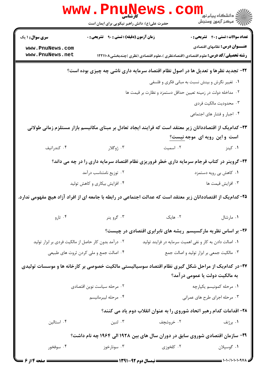|                                                                                                               | WWW.PILLING<br>حضرت علی(ع): دانش راهبر نیکویی برای ایمان است                            |                                                                                                           | دانشگاه پیام نور<br>ا∰ مرکز آزمون وسنجش                                                                                                                                                                                                                                                                                                                                                                               |
|---------------------------------------------------------------------------------------------------------------|-----------------------------------------------------------------------------------------|-----------------------------------------------------------------------------------------------------------|-----------------------------------------------------------------------------------------------------------------------------------------------------------------------------------------------------------------------------------------------------------------------------------------------------------------------------------------------------------------------------------------------------------------------|
| <b>سری سوال : ۱ یک</b>                                                                                        | زمان آزمون (دقیقه) : تستی : ۹۰٪ تشریحی : ۰                                              |                                                                                                           | <b>تعداد سوالات : تستی : 40 - تشریحی : 0</b>                                                                                                                                                                                                                                                                                                                                                                          |
| www.PnuNews.com<br>www.PnuNews.net                                                                            |                                                                                         | <b>رشته تحصیلی/کد درس:</b> علوم اقتصادی (اقتصادنظری )،علوم اقتصادی (نظری )چندبخشی۱۲۲۱۱۰۸                  | <b>عنـــوان درس:</b> نظامهای اقتصادی                                                                                                                                                                                                                                                                                                                                                                                  |
|                                                                                                               |                                                                                         |                                                                                                           |                                                                                                                                                                                                                                                                                                                                                                                                                       |
|                                                                                                               |                                                                                         | ۲۲- تجدید نظرها و تعدیل ها در اصول نظام اقتصاد سرمایه داری ناشی چه چیزی بوده است؟                         |                                                                                                                                                                                                                                                                                                                                                                                                                       |
|                                                                                                               |                                                                                         | ۰۱ تغییر نگرش و بینش نسبت به مبانی فکری و فلسفی                                                           |                                                                                                                                                                                                                                                                                                                                                                                                                       |
|                                                                                                               | ۰۲ مداخله دولت در زمینه تعیین حداقل دستمزد و نظارت بر قیمت ها<br>۰۳ محدودیت مالکیت فردی |                                                                                                           |                                                                                                                                                                                                                                                                                                                                                                                                                       |
|                                                                                                               |                                                                                         |                                                                                                           | ۰۴ اجبار و فشار های اجتماعی                                                                                                                                                                                                                                                                                                                                                                                           |
|                                                                                                               |                                                                                         |                                                                                                           |                                                                                                                                                                                                                                                                                                                                                                                                                       |
|                                                                                                               |                                                                                         | ۲۳– کدام یک از اقتصاددانان زیر معتقد است که فرایند ایجاد تعادل بر مبنای مکانیسم بازار مستلزم زمانی طولانی | است و این رویه ای موجه نیست؟                                                                                                                                                                                                                                                                                                                                                                                          |
| ۰۴ كندراتيف                                                                                                   | ۰۳ ژوگلار                                                                               |                                                                                                           | ۰۱ کینز میست اسمیت                                                                                                                                                                                                                                                                                                                                                                                                    |
|                                                                                                               |                                                                                         | ۲۴-گروینر در کتاب فرجام سرمایه داری خطر فروریزی نظام اقتصاد سرمایه داری را در چه می داند؟                 |                                                                                                                                                                                                                                                                                                                                                                                                                       |
|                                                                                                               | ۰۲ توزیع نامتناسب درآمد                                                                 |                                                                                                           | ۰۱ کاهش بی رویه دستمزد                                                                                                                                                                                                                                                                                                                                                                                                |
|                                                                                                               | ۰۴ افزایش بیکاری و کاهش تولید                                                           |                                                                                                           | ۰۳ افزايش قيمت ها                                                                                                                                                                                                                                                                                                                                                                                                     |
| ۲۵–کدام یک از اقتصاددانان زیر معتقد است که عدالت اجتماعی در رابطه با جامعه ای از افراد آزاد هیچ مفهومی ندارد. |                                                                                         |                                                                                                           |                                                                                                                                                                                                                                                                                                                                                                                                                       |
| ۰۴ تارو                                                                                                       | ۰۳ گرو ينر                                                                              | ۰۲ هایک                                                                                                   | ٠١ مارشال                                                                                                                                                                                                                                                                                                                                                                                                             |
|                                                                                                               |                                                                                         | ۲۶- بر اساس نظریه مارکسیسم ریشه های نابرابری اقتصادی در چیست؟                                             |                                                                                                                                                                                                                                                                                                                                                                                                                       |
| ۰۲ درآمد بدون کار حاصل از مالکیت فردی بر ابزار تولید                                                          |                                                                                         | ۰۱ اصالت دادن به کار و نفی اهمیت سرمایه در فرایند تولید                                                   |                                                                                                                                                                                                                                                                                                                                                                                                                       |
|                                                                                                               | ۰۴ اصالت جمع و ملي كردن ثروت هاي طبيعي                                                  |                                                                                                           | ۰۳ مالکیت جمعی بر ابزار تولید و اصالت جمع                                                                                                                                                                                                                                                                                                                                                                             |
|                                                                                                               |                                                                                         | ۲۷-در کدامیک از مراحل شکل گیری نظام اقتصاد سوسیالیستی مالکیت خصوصی بر کارخانه ها و موسسات تولیدی          |                                                                                                                                                                                                                                                                                                                                                                                                                       |
|                                                                                                               |                                                                                         |                                                                                                           | به مالکیت دولت یا عمومی در آمد؟                                                                                                                                                                                                                                                                                                                                                                                       |
|                                                                                                               | ۰۲ مرحله سیاست نوین اقتصادی                                                             |                                                                                                           | ۰۱ مرحله کمونیسم یکپارچه                                                                                                                                                                                                                                                                                                                                                                                              |
|                                                                                                               | ۰۴ مرحله ليبرمانيسم                                                                     |                                                                                                           | ۰۳ مرحله اجرای طرح های عمرانی                                                                                                                                                                                                                                                                                                                                                                                         |
|                                                                                                               |                                                                                         | ۲۸– اقدامات کدام رهبر اتحاد شوروی را به عنوان انقلاب دوم یاد می کنند؟                                     |                                                                                                                                                                                                                                                                                                                                                                                                                       |
| ۰۴ استالین                                                                                                    |                                                                                         | ۲. خروشچف هستان با تنین                                                                                   | ۰۱ برژنف                                                                                                                                                                                                                                                                                                                                                                                                              |
|                                                                                                               |                                                                                         | ۲۹- سازمان اقتصادی شوروی سابق در دوران سال های بین ۱۹۲۸ الی ۱۹۶۴ چه نام داشت؟                             |                                                                                                                                                                                                                                                                                                                                                                                                                       |
| ۰۴ سوفخور                                                                                                     | سونارخوز $\cdot$ ۳ $\cdot$                                                              | ۰۲ کلخوزی                                                                                                 | ۰۱ گوسپلان                                                                                                                                                                                                                                                                                                                                                                                                            |
| <b>= صفحه 4 از 6 =</b>                                                                                        |                                                                                         |                                                                                                           | $\frac{1}{1-\frac{1}{1-\frac{1}{1-\frac{1}{1-\frac{1}{1-\frac{1}{1-\frac{1}{1-\frac{1}{1-\frac{1}{1-\frac{1}{1-\frac{1}{1-\frac{1}{1-\frac{1}{1-\frac{1}{1-\frac{1}{1-\frac{1}{1-\frac{1}{1-\frac{1}{1-\frac{1}{1-\frac{1}{1-\frac{1}{1-\frac{1}{1-\frac{1}{1-\frac{1}{1-\frac{1}{1-\frac{1}{1-\frac{1}{1-\frac{1}{1-\frac{1}{1-\frac{1}{1-\frac{1}{1-\frac{1}{1-\frac{1}{1-\frac{1}{1-\frac{1}{1-\frac{1}{1-\frac{1$ |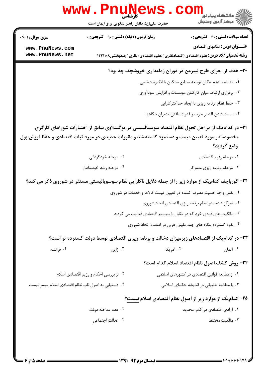|                                                        | کار شناسی<br>حضرت علی(ع): دانش راهبر نیکویی برای ایمان است                                             |                                                                                          | ڪ دانشڪاه پيام نور<br><mark>∕</mark> 7 مرڪز آزمون وسنڊش |
|--------------------------------------------------------|--------------------------------------------------------------------------------------------------------|------------------------------------------------------------------------------------------|---------------------------------------------------------|
| <b>سری سوال : ۱ یک</b>                                 | زمان آزمون (دقیقه) : تستی : ۹۰٪ تشریحی : ۰                                                             |                                                                                          | <b>تعداد سوالات : تستی : 40 - تشریحی : 0</b>            |
| www.PnuNews.com<br>www.PnuNews.net                     |                                                                                                        |                                                                                          | <b>عنـــوان درس:</b> نظامهای اقتصادی                    |
|                                                        |                                                                                                        | <b>رشته تحصیلی/کد درس:</b> علوم اقتصادی (اقتصادنظری )،علوم اقتصادی (نظری )چندبخشی۱۲۲۱۱۰۸ |                                                         |
|                                                        |                                                                                                        | ۳۰- هدف از اجرای طرح لیبرمن در دوران زمامداری خروشچف چه بود؟                             |                                                         |
|                                                        |                                                                                                        | ۰۱ مقابله با عدم امکان توسعه صنایع سنگین با انگیزه شخصی                                  |                                                         |
| ۰۲ برقراری ارتباط میان کارکنان موسسات و افزایش سودآوری |                                                                                                        |                                                                                          |                                                         |
| ۰۳ حفظ نظام برنامه ریزی با ایجاد حداکثرکارایی          |                                                                                                        |                                                                                          |                                                         |
|                                                        |                                                                                                        | ۰۴ سست شدن اقتدار حزب و قدرت یافتن مدیران بنگاهها                                        |                                                         |
|                                                        | ۳۱– در کدام یک از مراحل تحول نظام اقتصاد سوسیالیستی در یوگسلاوی سابق از اختیارات شوراهای کارگری        |                                                                                          |                                                         |
|                                                        | مخصوصا در مورد تعیین قیمت و دستمزد کاسته شد و مقررات جدیدی در مورد ثبات اقتصادی و حفظ ارزش پول         |                                                                                          |                                                         |
|                                                        |                                                                                                        |                                                                                          | وضع گرديد؟                                              |
|                                                        | ۰۲ مرحله خودگردانی                                                                                     |                                                                                          | ۰۱ مرحله رفرم اقتصادي                                   |
|                                                        | ۰۴ مرحله رشد خودمختار                                                                                  |                                                                                          | ۰۳ مرحله برنامه ریزی متمرکز                             |
|                                                        | ۳۲- گورباچف کدام یک از موارد زیر را از جمله دلایل ناکارایی نظام سوسویالیستی مستقر در شوروی ذکر می کند؟ |                                                                                          |                                                         |
|                                                        |                                                                                                        | ۰۱ نقش واجد اهمیت مصرف کننده در تعیین قیمت کالاها و خدمات در شوروی                       |                                                         |
|                                                        |                                                                                                        | ۰۲ تمرکز شدید در نظام برنامه ریزی اقتصادی اتحاد شوروی                                    |                                                         |
|                                                        | ۰۳ مالکیت های فردی خرد که در تقابل با سیستم اقتصادی فعالیت می کردند                                    |                                                                                          |                                                         |
|                                                        |                                                                                                        | ۰۴ نفوذ گسترده بنگاه های چند ملیتی غربی در اقتصاد اتحاد شوروی                            |                                                         |
|                                                        | ۳۳- در کدام یک از اقتصادهای زیرمیزان دخالت و برنامه ریزی اقتصادی توسط دولت گسترده تر است؟              |                                                                                          |                                                         |
| ۰۴ فرانسه                                              | ۰۳ ژاپن                                                                                                | ۰۲ آمریکا                                                                                | ۰۱ آلمان                                                |
|                                                        |                                                                                                        |                                                                                          |                                                         |
|                                                        |                                                                                                        | ۳۴- روش کشف اصول نظام اقتصاد اسلام کدام است؟                                             |                                                         |
|                                                        | ۰۲ از بررسی احکام و رژیم اقتصادی اسلام                                                                 | ۰۱ از مطالعه قوانین اقتصادی در کشورهای اسلامی                                            |                                                         |
| ۰۴ دستیابی به اصول ناب نظام اقتصادی اسلام میسر نیست    |                                                                                                        | ۰۳ با مطالعه تطبیقی در اندیشه حکمای اسلامی                                               |                                                         |
|                                                        |                                                                                                        | ۳۵– کدام یک از موارد زیر از اصول نظام اقتصادی اسلام نیست؟                                |                                                         |
|                                                        | ۰۲ عدم مداخله دولت                                                                                     |                                                                                          | ٠١. آزادي اقتصادي در كادر محدود                         |
|                                                        | ۰۴ عدالت اجتماعی                                                                                       |                                                                                          | ٠٣ مالكيت مختلط                                         |
|                                                        |                                                                                                        |                                                                                          |                                                         |
|                                                        |                                                                                                        |                                                                                          |                                                         |